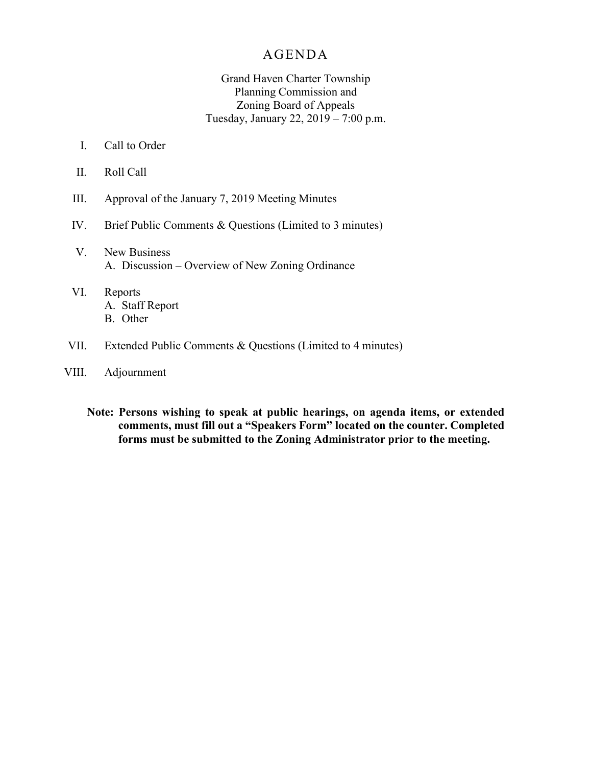### AGENDA

#### Grand Haven Charter Township Planning Commission and Zoning Board of Appeals Tuesday, January 22, 2019 – 7:00 p.m.

- I. Call to Order
- II. Roll Call
- III. Approval of the January 7, 2019 Meeting Minutes
- IV. Brief Public Comments & Questions (Limited to 3 minutes)
- V. New Business A. Discussion – Overview of New Zoning Ordinance
- VI. Reports A. Staff Report B. Other
- VII. Extended Public Comments & Questions (Limited to 4 minutes)
- VIII. Adjournment
	- **Note: Persons wishing to speak at public hearings, on agenda items, or extended comments, must fill out a "Speakers Form" located on the counter. Completed forms must be submitted to the Zoning Administrator prior to the meeting.**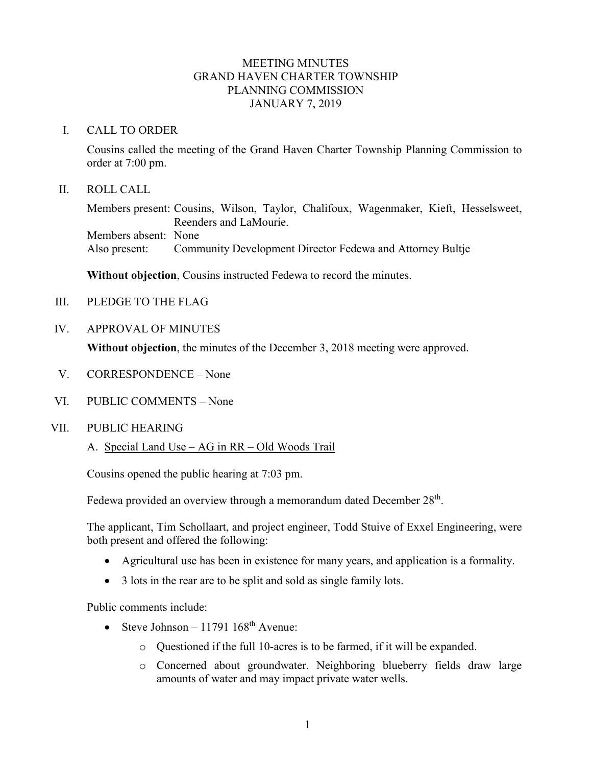#### MEETING MINUTES GRAND HAVEN CHARTER TOWNSHIP PLANNING COMMISSION JANUARY 7, 2019

#### I. CALL TO ORDER

Cousins called the meeting of the Grand Haven Charter Township Planning Commission to order at 7:00 pm.

#### II. ROLL CALL

Members present: Cousins, Wilson, Taylor, Chalifoux, Wagenmaker, Kieft, Hesselsweet, Reenders and LaMourie. Members absent: None Also present: Community Development Director Fedewa and Attorney Bultje

**Without objection**, Cousins instructed Fedewa to record the minutes.

- III. PLEDGE TO THE FLAG
- IV. APPROVAL OF MINUTES

**Without objection**, the minutes of the December 3, 2018 meeting were approved.

- V. CORRESPONDENCE None
- VI. PUBLIC COMMENTS None
- VII. PUBLIC HEARING
	- A. Special Land Use AG in RR Old Woods Trail

Cousins opened the public hearing at 7:03 pm.

Fedewa provided an overview through a memorandum dated December 28<sup>th</sup>.

The applicant, Tim Schollaart, and project engineer, Todd Stuive of Exxel Engineering, were both present and offered the following:

- Agricultural use has been in existence for many years, and application is a formality.
- 3 lots in the rear are to be split and sold as single family lots.

Public comments include:

- Steve Johnson 11791  $168<sup>th</sup>$  Avenue:
	- o Questioned if the full 10-acres is to be farmed, if it will be expanded.
	- o Concerned about groundwater. Neighboring blueberry fields draw large amounts of water and may impact private water wells.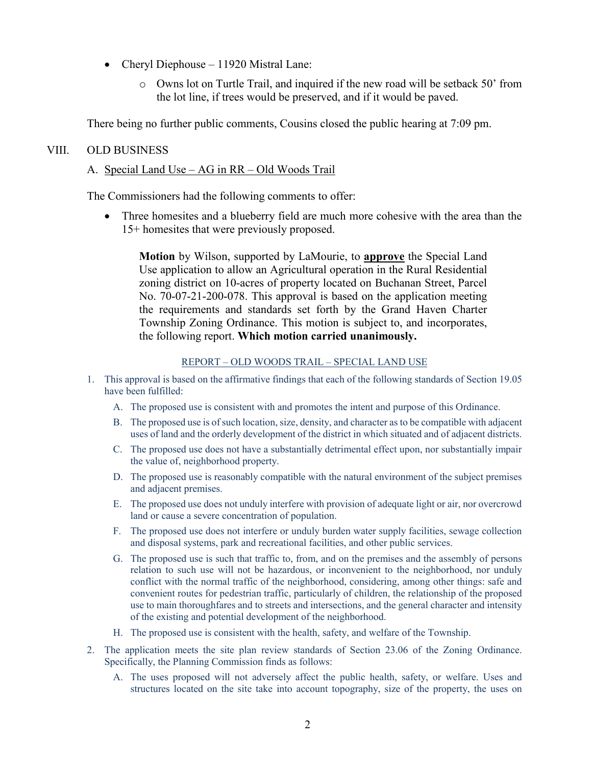- Cheryl Diephouse 11920 Mistral Lane:
	- $\circ$  Owns lot on Turtle Trail, and inquired if the new road will be setback 50' from the lot line, if trees would be preserved, and if it would be paved.

There being no further public comments, Cousins closed the public hearing at 7:09 pm.

#### VIII. OLD BUSINESS

#### A. Special Land Use – AG in RR – Old Woods Trail

The Commissioners had the following comments to offer:

• Three homesites and a blueberry field are much more cohesive with the area than the 15+ homesites that were previously proposed.

**Motion** by Wilson, supported by LaMourie, to **approve** the Special Land Use application to allow an Agricultural operation in the Rural Residential zoning district on 10-acres of property located on Buchanan Street, Parcel No. 70-07-21-200-078. This approval is based on the application meeting the requirements and standards set forth by the Grand Haven Charter Township Zoning Ordinance. This motion is subject to, and incorporates, the following report. **Which motion carried unanimously.**

#### REPORT – OLD WOODS TRAIL – SPECIAL LAND USE

- 1. This approval is based on the affirmative findings that each of the following standards of Section 19.05 have been fulfilled:
	- A. The proposed use is consistent with and promotes the intent and purpose of this Ordinance.
	- B. The proposed use is of such location, size, density, and character as to be compatible with adjacent uses of land and the orderly development of the district in which situated and of adjacent districts.
	- C. The proposed use does not have a substantially detrimental effect upon, nor substantially impair the value of, neighborhood property.
	- D. The proposed use is reasonably compatible with the natural environment of the subject premises and adjacent premises.
	- E. The proposed use does not unduly interfere with provision of adequate light or air, nor overcrowd land or cause a severe concentration of population.
	- F. The proposed use does not interfere or unduly burden water supply facilities, sewage collection and disposal systems, park and recreational facilities, and other public services.
	- G. The proposed use is such that traffic to, from, and on the premises and the assembly of persons relation to such use will not be hazardous, or inconvenient to the neighborhood, nor unduly conflict with the normal traffic of the neighborhood, considering, among other things: safe and convenient routes for pedestrian traffic, particularly of children, the relationship of the proposed use to main thoroughfares and to streets and intersections, and the general character and intensity of the existing and potential development of the neighborhood.
	- H. The proposed use is consistent with the health, safety, and welfare of the Township.
- 2. The application meets the site plan review standards of Section 23.06 of the Zoning Ordinance. Specifically, the Planning Commission finds as follows:
	- A. The uses proposed will not adversely affect the public health, safety, or welfare. Uses and structures located on the site take into account topography, size of the property, the uses on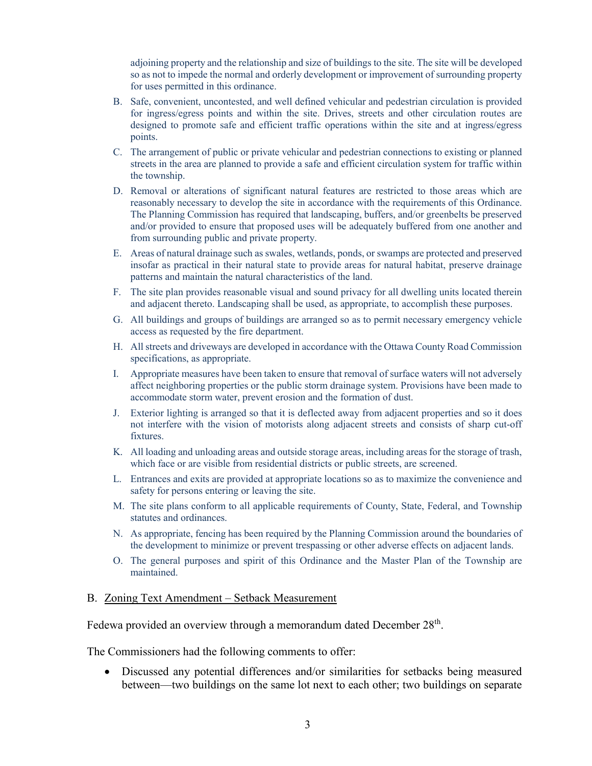adjoining property and the relationship and size of buildings to the site. The site will be developed so as not to impede the normal and orderly development or improvement of surrounding property for uses permitted in this ordinance.

- B. Safe, convenient, uncontested, and well defined vehicular and pedestrian circulation is provided for ingress/egress points and within the site. Drives, streets and other circulation routes are designed to promote safe and efficient traffic operations within the site and at ingress/egress points.
- C. The arrangement of public or private vehicular and pedestrian connections to existing or planned streets in the area are planned to provide a safe and efficient circulation system for traffic within the township.
- D. Removal or alterations of significant natural features are restricted to those areas which are reasonably necessary to develop the site in accordance with the requirements of this Ordinance. The Planning Commission has required that landscaping, buffers, and/or greenbelts be preserved and/or provided to ensure that proposed uses will be adequately buffered from one another and from surrounding public and private property.
- E. Areas of natural drainage such as swales, wetlands, ponds, or swamps are protected and preserved insofar as practical in their natural state to provide areas for natural habitat, preserve drainage patterns and maintain the natural characteristics of the land.
- F. The site plan provides reasonable visual and sound privacy for all dwelling units located therein and adjacent thereto. Landscaping shall be used, as appropriate, to accomplish these purposes.
- G. All buildings and groups of buildings are arranged so as to permit necessary emergency vehicle access as requested by the fire department.
- H. All streets and driveways are developed in accordance with the Ottawa County Road Commission specifications, as appropriate.
- I. Appropriate measures have been taken to ensure that removal of surface waters will not adversely affect neighboring properties or the public storm drainage system. Provisions have been made to accommodate storm water, prevent erosion and the formation of dust.
- J. Exterior lighting is arranged so that it is deflected away from adjacent properties and so it does not interfere with the vision of motorists along adjacent streets and consists of sharp cut-off fixtures.
- K. All loading and unloading areas and outside storage areas, including areas for the storage of trash, which face or are visible from residential districts or public streets, are screened.
- L. Entrances and exits are provided at appropriate locations so as to maximize the convenience and safety for persons entering or leaving the site.
- M. The site plans conform to all applicable requirements of County, State, Federal, and Township statutes and ordinances.
- N. As appropriate, fencing has been required by the Planning Commission around the boundaries of the development to minimize or prevent trespassing or other adverse effects on adjacent lands.
- O. The general purposes and spirit of this Ordinance and the Master Plan of the Township are maintained.

#### B. Zoning Text Amendment – Setback Measurement

Fedewa provided an overview through a memorandum dated December 28<sup>th</sup>.

The Commissioners had the following comments to offer:

• Discussed any potential differences and/or similarities for setbacks being measured between—two buildings on the same lot next to each other; two buildings on separate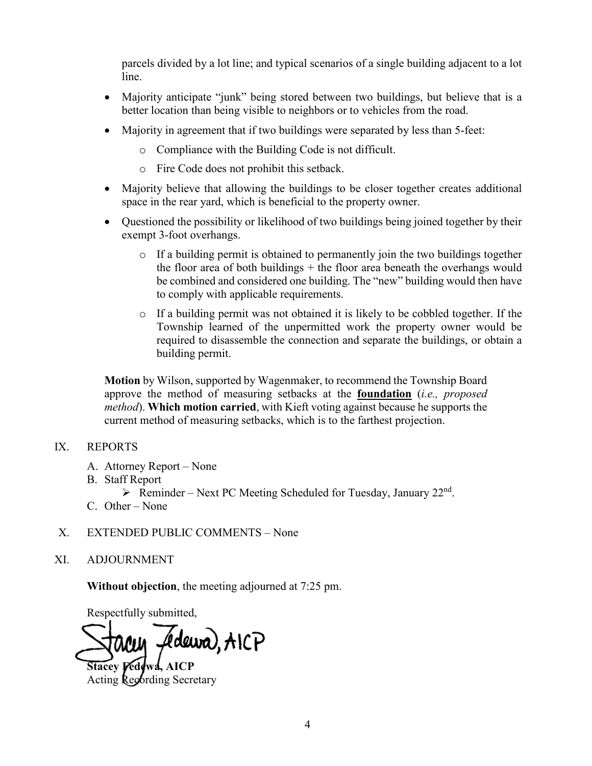parcels divided by a lot line; and typical scenarios of a single building adjacent to a lot line.

- Majority anticipate "junk" being stored between two buildings, but believe that is a better location than being visible to neighbors or to vehicles from the road.
- Majority in agreement that if two buildings were separated by less than 5-feet:
	- o Compliance with the Building Code is not difficult.
	- o Fire Code does not prohibit this setback.
- Majority believe that allowing the buildings to be closer together creates additional space in the rear yard, which is beneficial to the property owner.
- Questioned the possibility or likelihood of two buildings being joined together by their exempt 3-foot overhangs.
	- $\circ$  If a building permit is obtained to permanently join the two buildings together the floor area of both buildings + the floor area beneath the overhangs would be combined and considered one building. The "new" building would then have to comply with applicable requirements.
	- o If a building permit was not obtained it is likely to be cobbled together. If the Township learned of the unpermitted work the property owner would be required to disassemble the connection and separate the buildings, or obtain a building permit.

**Motion** by Wilson, supported by Wagenmaker, to recommend the Township Board approve the method of measuring setbacks at the **foundation** (*i.e., proposed method*). **Which motion carried**, with Kieft voting against because he supports the current method of measuring setbacks, which is to the farthest projection.

#### IX. REPORTS

- A. Attorney Report None
- B. Staff Report
	- $\triangleright$  Reminder Next PC Meeting Scheduled for Tuesday, January 22<sup>nd</sup>.
- C. Other None
- X. EXTENDED PUBLIC COMMENTS None
- XI. ADJOURNMENT

**Without objection**, the meeting adjourned at 7:25 pm.

Respectfully submitted,

édewa), AICP

**Stacey Fedewa, AICP** Acting Recording Secretary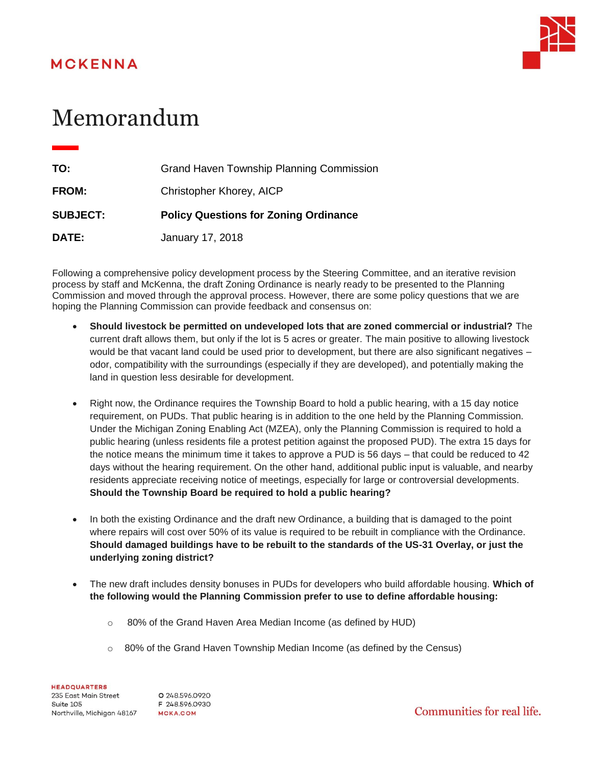## MCKENNA



# Memorandum

| TO:             | Grand Haven Township Planning Commission     |
|-----------------|----------------------------------------------|
| <b>FROM:</b>    | Christopher Khorey, AICP                     |
| <b>SUBJECT:</b> | <b>Policy Questions for Zoning Ordinance</b> |
| DATE:           | January 17, 2018                             |

Following a comprehensive policy development process by the Steering Committee, and an iterative revision process by staff and McKenna, the draft Zoning Ordinance is nearly ready to be presented to the Planning Commission and moved through the approval process. However, there are some policy questions that we are hoping the Planning Commission can provide feedback and consensus on:

- **Should livestock be permitted on undeveloped lots that are zoned commercial or industrial?** The current draft allows them, but only if the lot is 5 acres or greater. The main positive to allowing livestock would be that vacant land could be used prior to development, but there are also significant negatives – odor, compatibility with the surroundings (especially if they are developed), and potentially making the land in question less desirable for development.
- Right now, the Ordinance requires the Township Board to hold a public hearing, with a 15 day notice requirement, on PUDs. That public hearing is in addition to the one held by the Planning Commission. Under the Michigan Zoning Enabling Act (MZEA), only the Planning Commission is required to hold a public hearing (unless residents file a protest petition against the proposed PUD). The extra 15 days for the notice means the minimum time it takes to approve a PUD is 56 days – that could be reduced to 42 days without the hearing requirement. On the other hand, additional public input is valuable, and nearby residents appreciate receiving notice of meetings, especially for large or controversial developments. **Should the Township Board be required to hold a public hearing?**
- In both the existing Ordinance and the draft new Ordinance, a building that is damaged to the point where repairs will cost over 50% of its value is required to be rebuilt in compliance with the Ordinance. **Should damaged buildings have to be rebuilt to the standards of the US-31 Overlay, or just the underlying zoning district?**
- The new draft includes density bonuses in PUDs for developers who build affordable housing. **Which of the following would the Planning Commission prefer to use to define affordable housing:**
	- o 80% of the Grand Haven Area Median Income (as defined by HUD)
	- $\circ$  80% of the Grand Haven Township Median Income (as defined by the Census)

O 248.596.0920 F 248,596,0930 **MCKA.COM** 

Communities for real life.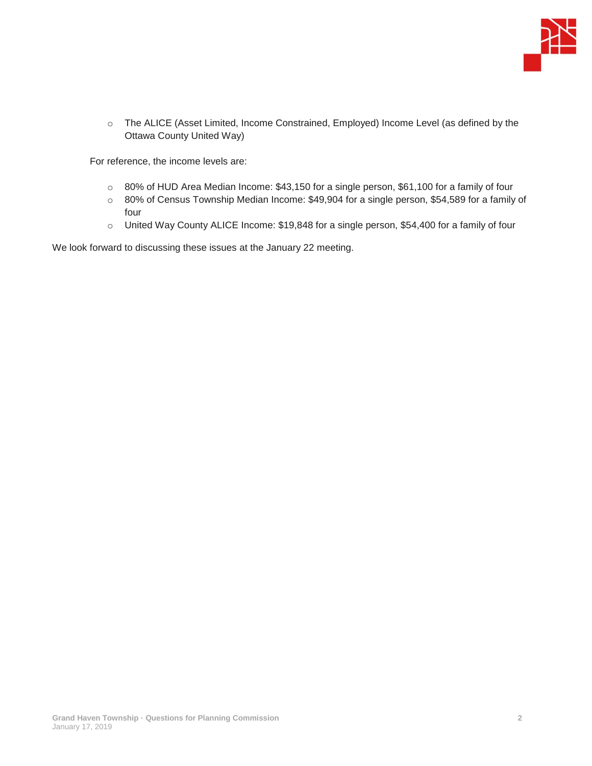

o The ALICE (Asset Limited, Income Constrained, Employed) Income Level (as defined by the Ottawa County United Way)

For reference, the income levels are:

- o 80% of HUD Area Median Income: \$43,150 for a single person, \$61,100 for a family of four
- o 80% of Census Township Median Income: \$49,904 for a single person, \$54,589 for a family of four
- o United Way County ALICE Income: \$19,848 for a single person, \$54,400 for a family of four

We look forward to discussing these issues at the January 22 meeting.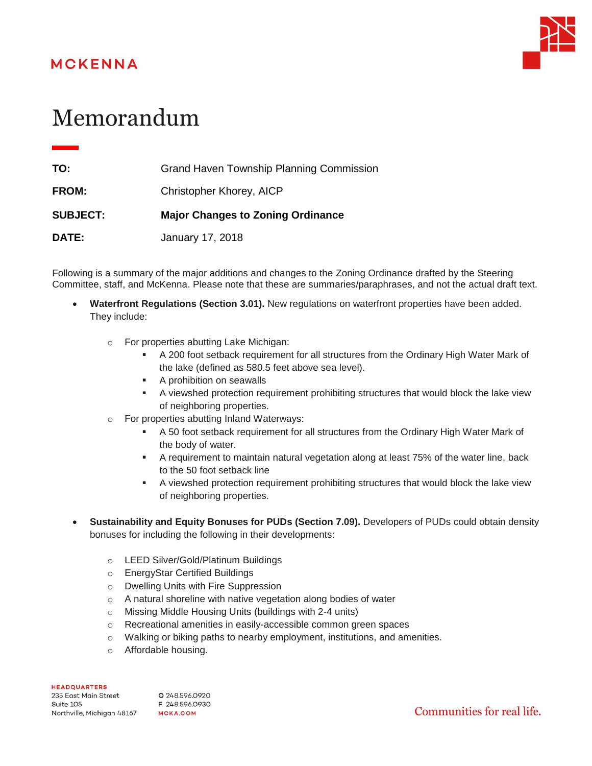## MCKENNA



# Memorandum

| TO:             | <b>Grand Haven Township Planning Commission</b> |
|-----------------|-------------------------------------------------|
| <b>FROM:</b>    | Christopher Khorey, AICP                        |
| <b>SUBJECT:</b> | <b>Major Changes to Zoning Ordinance</b>        |
| <b>DATE:</b>    | January 17, 2018                                |

Following is a summary of the major additions and changes to the Zoning Ordinance drafted by the Steering Committee, staff, and McKenna. Please note that these are summaries/paraphrases, and not the actual draft text.

- **Waterfront Regulations (Section 3.01).** New regulations on waterfront properties have been added. They include:
	- o For properties abutting Lake Michigan:
		- A 200 foot setback requirement for all structures from the Ordinary High Water Mark of the lake (defined as 580.5 feet above sea level).
		- A prohibition on seawalls
		- **•** A viewshed protection requirement prohibiting structures that would block the lake view of neighboring properties.
	- o For properties abutting Inland Waterways:
		- A 50 foot setback requirement for all structures from the Ordinary High Water Mark of the body of water.
		- **EXECT** A requirement to maintain natural vegetation along at least 75% of the water line, back to the 50 foot setback line
		- A viewshed protection requirement prohibiting structures that would block the lake view of neighboring properties.
- **Sustainability and Equity Bonuses for PUDs (Section 7.09).** Developers of PUDs could obtain density bonuses for including the following in their developments:
	- o LEED Silver/Gold/Platinum Buildings
	- o EnergyStar Certified Buildings
	- o Dwelling Units with Fire Suppression
	- o A natural shoreline with native vegetation along bodies of water
	- o Missing Middle Housing Units (buildings with 2-4 units)
	- o Recreational amenities in easily-accessible common green spaces
	- o Walking or biking paths to nearby employment, institutions, and amenities.
	- o Affordable housing.

**HEADQUARTERS** 235 East Main Street Suite 105 Northville, Michigan 48167 MCKA.COM

O 248.596.0920 F 248.596.0930

Communities for real life.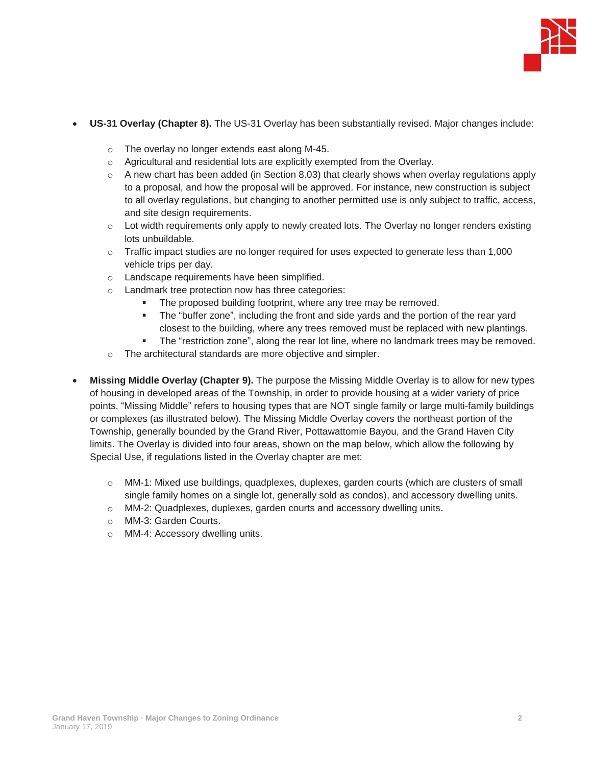

- **US-31 Overlay (Chapter 8).** The US-31 Overlay has been substantially revised. Major changes include:
	- o The overlay no longer extends east along M-45.
	- o Agricultural and residential lots are explicitly exempted from the Overlay.
	- $\circ$  A new chart has been added (in Section 8.03) that clearly shows when overlay regulations apply to a proposal, and how the proposal will be approved. For instance, new construction is subject to all overlay regulations, but changing to another permitted use is only subject to traffic, access, and site design requirements.
	- $\circ$  Lot width requirements only apply to newly created lots. The Overlay no longer renders existing lots unbuildable.
	- $\circ$  Traffic impact studies are no longer required for uses expected to generate less than 1,000 vehicle trips per day.
	- o Landscape requirements have been simplified.
	- o Landmark tree protection now has three categories:
		- **The proposed building footprint, where any tree may be removed.**
		- The "buffer zone", including the front and side yards and the portion of the rear yard closest to the building, where any trees removed must be replaced with new plantings.
		- The "restriction zone", along the rear lot line, where no landmark trees may be removed.
	- o The architectural standards are more objective and simpler.
- **Missing Middle Overlay (Chapter 9).** The purpose the Missing Middle Overlay is to allow for new types of housing in developed areas of the Township, in order to provide housing at a wider variety of price points. "Missing Middle" refers to housing types that are NOT single family or large multi-family buildings or complexes (as illustrated below). The Missing Middle Overlay covers the northeast portion of the Township, generally bounded by the Grand River, Pottawattomie Bayou, and the Grand Haven City limits. The Overlay is divided into four areas, shown on the map below, which allow the following by Special Use, if regulations listed in the Overlay chapter are met:
	- o MM-1: Mixed use buildings, quadplexes, duplexes, garden courts (which are clusters of small single family homes on a single lot, generally sold as condos), and accessory dwelling units.
	- o MM-2: Quadplexes, duplexes, garden courts and accessory dwelling units.
	- o MM-3: Garden Courts.
	- o MM-4: Accessory dwelling units.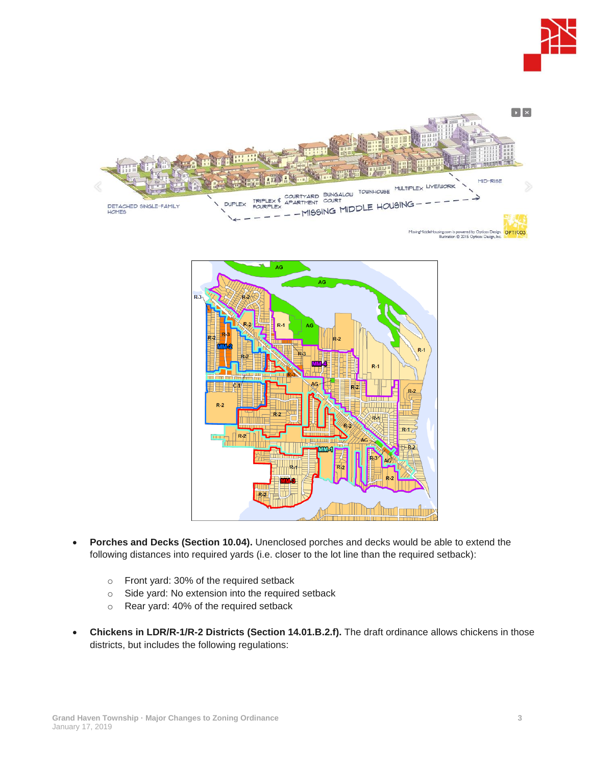





- **Porches and Decks (Section 10.04).** Unenclosed porches and decks would be able to extend the following distances into required yards (i.e. closer to the lot line than the required setback):
	- o Front yard: 30% of the required setback
	- o Side yard: No extension into the required setback
	- o Rear yard: 40% of the required setback
- **Chickens in LDR/R-1/R-2 Districts (Section 14.01.B.2.f).** The draft ordinance allows chickens in those districts, but includes the following regulations: